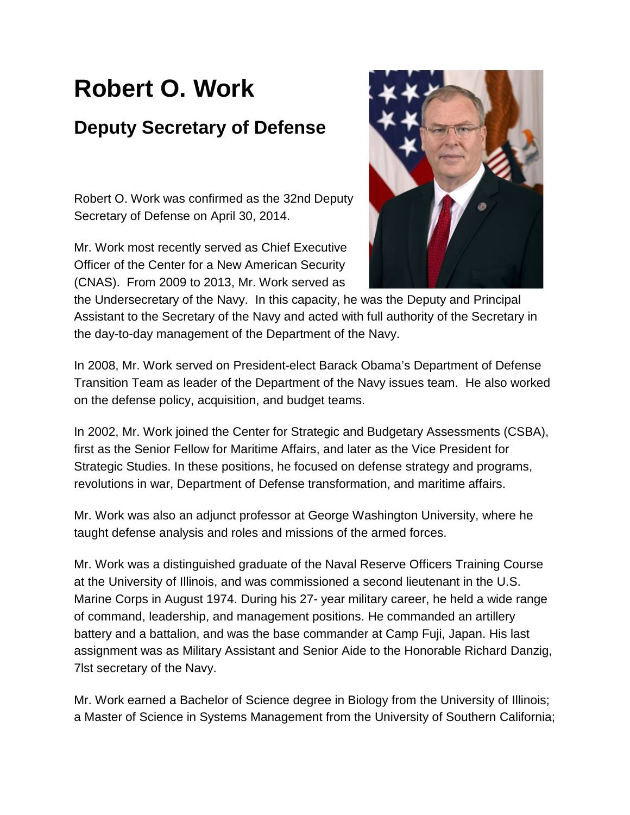## **Robert O. Work Deputy Secretary of Defense**

Robert O. Work was confirmed as the 32nd Deputy Secretary of Defense on April 30, 2014.

Mr. Work most recently served as Chief Executive Officer of the Center for a New American Security (CNAS). From 2009 to 2013, Mr. Work served as



the Undersecretary of the Navy. In this capacity, he was the Deputy and Principal Assistant to the Secretary of the Navy and acted with full authority of the Secretary in the day-to-day management of the Department of the Navy.

In 2008, Mr. Work served on President-elect Barack Obama's Department of Defense Transition Team as leader of the Department of the Navy issues team. He also worked on the defense policy, acquisition, and budget teams.

In 2002, Mr. Work joined the Center for Strategic and Budgetary Assessments (CSBA), first as the Senior Fellow for Maritime Affairs, and later as the Vice President for Strategic Studies. In these positions, he focused on defense strategy and programs, revolutions in war, Department of Defense transformation, and maritime affairs.

Mr. Work was also an adjunct professor at George Washington University, where he taught defense analysis and roles and missions of the armed forces.

Mr. Work was a distinguished graduate of the Naval Reserve Officers Training Course at the University of Illinois, and was commissioned a second lieutenant in the U.S. Marine Corps in August 1974. During his 27- year military career, he held a wide range of command, leadership, and management positions. He commanded an artillery battery and a battalion, and was the base commander at Camp Fuji, Japan. His last assignment was as Military Assistant and Senior Aide to the Honorable Richard Danzig, 7lst secretary of the Navy.

Mr. Work earned a Bachelor of Science degree in Biology from the University of Illinois; a Master of Science in Systems Management from the University of Southern California;